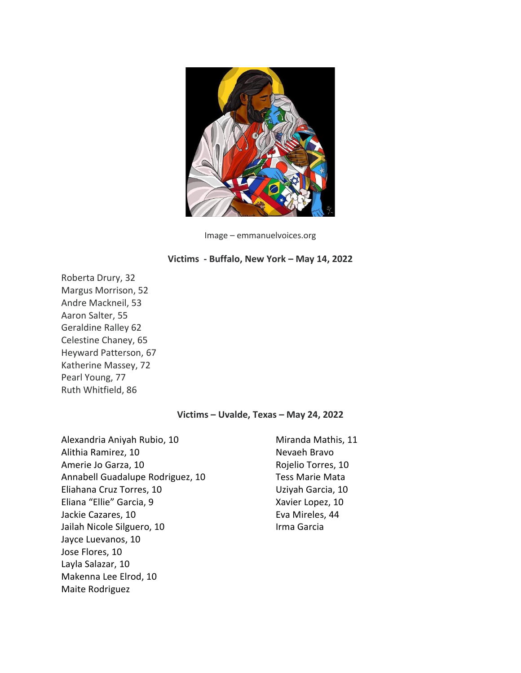

Image – emmanuelvoices.org

## **Victims - Buffalo, New York – May 14, 2022**

Roberta Drury, 32 Margus Morrison, 52 Andre Mackneil, 53 Aaron Salter, 55 Geraldine Ralley 62 Celestine Chaney, 65 Heyward Patterson, 67 Katherine Massey, 72 Pearl Young, 77 Ruth Whitfield, 86

## **Victims – Uvalde, Texas – May 24, 2022**

Alexandria Aniyah Rubio, 10 Alithia Ramirez, 10 Amerie Jo Garza, 10 Annabell Guadalupe Rodriguez, 10 Eliahana Cruz Torres, 10 Eliana "Ellie" Garcia, 9 Jackie Cazares, 10 Jailah Nicole Silguero, 10 Jayce Luevanos, 10 Jose Flores, 10 Layla Salazar, 10 Makenna Lee Elrod, 10 Maite Rodriguez

Miranda Mathis, 11 Nevaeh Bravo Rojelio Torres, 10 Tess Marie Mata Uziyah Garcia, 10 Xavier Lopez, 10 Eva Mireles, 44 Irma Garcia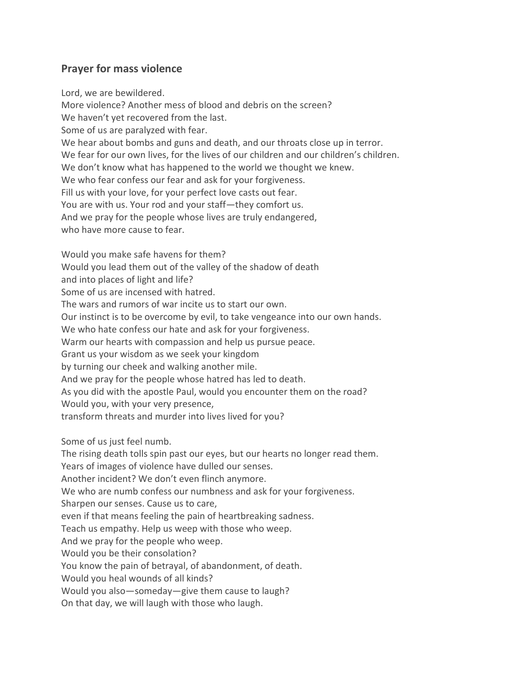## **Prayer for mass violence**

Lord, we are bewildered. More violence? Another mess of blood and debris on the screen? We haven't yet recovered from the last. Some of us are paralyzed with fear. We hear about bombs and guns and death, and our throats close up in terror. We fear for our own lives, for the lives of our children and our children's children. We don't know what has happened to the world we thought we knew. We who fear confess our fear and ask for your forgiveness. Fill us with your love, for your perfect love casts out fear. You are with us. Your rod and your staff—they comfort us. And we pray for the people whose lives are truly endangered, who have more cause to fear.

Would you make safe havens for them? Would you lead them out of the valley of the shadow of death and into places of light and life? Some of us are incensed with hatred. The wars and rumors of war incite us to start our own. Our instinct is to be overcome by evil, to take vengeance into our own hands. We who hate confess our hate and ask for your forgiveness. Warm our hearts with compassion and help us pursue peace. Grant us your wisdom as we seek your kingdom by turning our cheek and walking another mile. And we pray for the people whose hatred has led to death. As you did with the apostle Paul, would you encounter them on the road? Would you, with your very presence, transform threats and murder into lives lived for you?

Some of us just feel numb.

The rising death tolls spin past our eyes, but our hearts no longer read them.

Years of images of violence have dulled our senses.

Another incident? We don't even flinch anymore.

We who are numb confess our numbness and ask for your forgiveness.

Sharpen our senses. Cause us to care,

even if that means feeling the pain of heartbreaking sadness.

Teach us empathy. Help us weep with those who weep.

And we pray for the people who weep.

Would you be their consolation?

You know the pain of betrayal, of abandonment, of death.

Would you heal wounds of all kinds?

Would you also—someday—give them cause to laugh?

On that day, we will laugh with those who laugh.